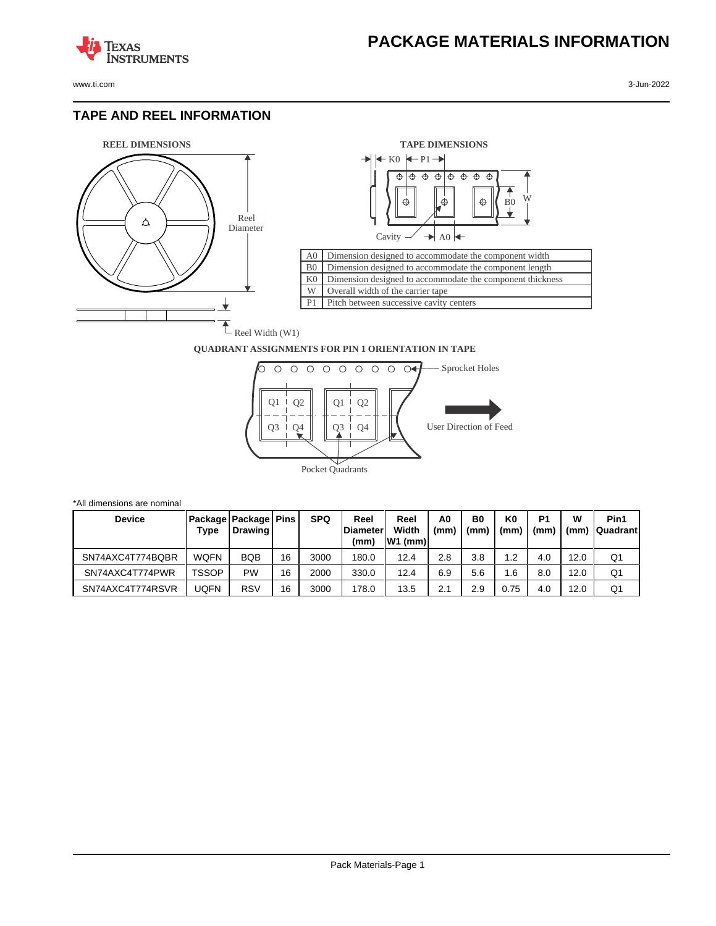

**TEXAS** 

## **TAPE AND REEL INFORMATION**

**STRUMENTS** 





## **QUADRANT ASSIGNMENTS FOR PIN 1 ORIENTATION IN TAPE**



| *All dimensions are nominal |              |                                       |    |            |                                  |                             |            |            |            |                        |           |                         |
|-----------------------------|--------------|---------------------------------------|----|------------|----------------------------------|-----------------------------|------------|------------|------------|------------------------|-----------|-------------------------|
| <b>Device</b>               | Type         | Package   Package   Pins  <br>Drawing |    | <b>SPQ</b> | Reel<br><b>IDiameter</b><br>(mm) | Reel<br>Width<br>$ W1$ (mm) | A0<br>(mm) | B0<br>(mm) | K0<br>(mm) | P <sub>1</sub><br>(mm) | w<br>(mm) | Pin1<br><b>Quadrant</b> |
| SN74AXC4T774BQBR            | <b>WQFN</b>  | <b>BQB</b>                            | 16 | 3000       | 180.0                            | 12.4                        | 2.8        | 3.8        | 1.2        | 4.0                    | 12.0      | Q1                      |
| SN74AXC4T774PWR             | <b>TSSOP</b> | <b>PW</b>                             | 16 | 2000       | 330.0                            | 12.4                        | 6.9        | 5.6        | 1.6        | 8.0                    | 12.0      | Q1                      |
| SN74AXC4T774RSVR            | JQFN         | <b>RSV</b>                            | 16 | 3000       | 178.0                            | 13.5                        | 2.1        | 2.9        | 0.75       | 4.0                    | 12.0      | Q1                      |